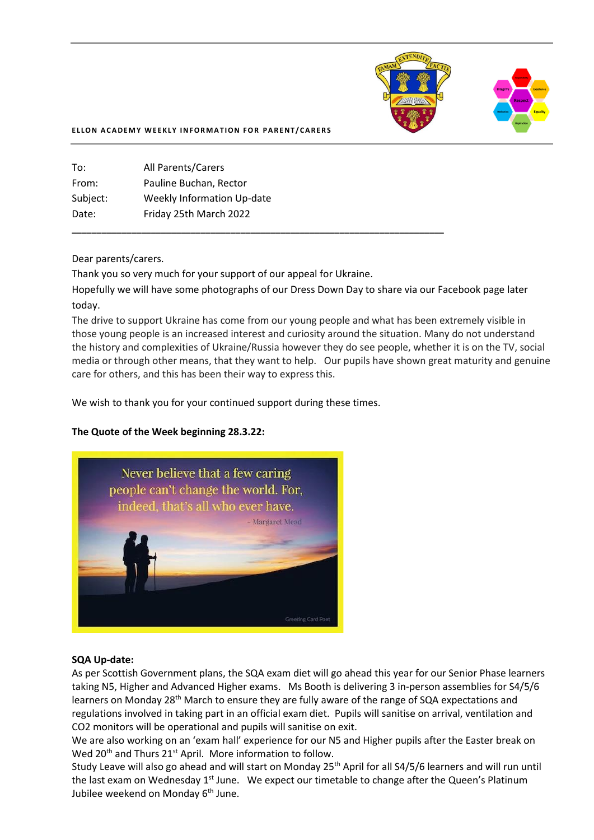

#### **ELLON ACADEMY WEEKLY INFORMATION FOR PARENT/CARERS**

| To:      | <b>All Parents/Carers</b>         |
|----------|-----------------------------------|
| From:    | Pauline Buchan, Rector            |
| Subject: | <b>Weekly Information Up-date</b> |
| Date:    | Friday 25th March 2022            |
|          |                                   |

#### Dear parents/carers.

Thank you so very much for your support of our appeal for Ukraine.

**\_\_\_\_\_\_\_\_\_\_\_\_\_\_\_\_\_\_\_\_\_\_\_\_\_\_\_\_\_\_\_\_\_\_\_\_\_\_\_\_\_\_\_\_\_\_\_\_\_\_\_\_\_\_\_\_\_\_\_\_\_\_\_\_\_\_\_\_\_\_\_\_\_\_\_**

Hopefully we will have some photographs of our Dress Down Day to share via our Facebook page later today.

The drive to support Ukraine has come from our young people and what has been extremely visible in those young people is an increased interest and curiosity around the situation. Many do not understand the history and complexities of Ukraine/Russia however they do see people, whether it is on the TV, social media or through other means, that they want to help. Our pupils have shown great maturity and genuine care for others, and this has been their way to express this.

We wish to thank you for your continued support during these times.

#### **The Quote of the Week beginning 28.3.22:**



#### **SQA Up-date:**

As per Scottish Government plans, the SQA exam diet will go ahead this year for our Senior Phase learners taking N5, Higher and Advanced Higher exams. Ms Booth is delivering 3 in-person assemblies for S4/5/6 learners on Monday 28<sup>th</sup> March to ensure they are fully aware of the range of SQA expectations and regulations involved in taking part in an official exam diet. Pupils will sanitise on arrival, ventilation and CO2 monitors will be operational and pupils will sanitise on exit.

We are also working on an 'exam hall' experience for our N5 and Higher pupils after the Easter break on Wed 20<sup>th</sup> and Thurs 21<sup>st</sup> April. More information to follow.

Study Leave will also go ahead and will start on Monday 25th April for all S4/5/6 learners and will run until the last exam on Wednesday 1<sup>st</sup> June. We expect our timetable to change after the Queen's Platinum Jubilee weekend on Monday 6<sup>th</sup> June.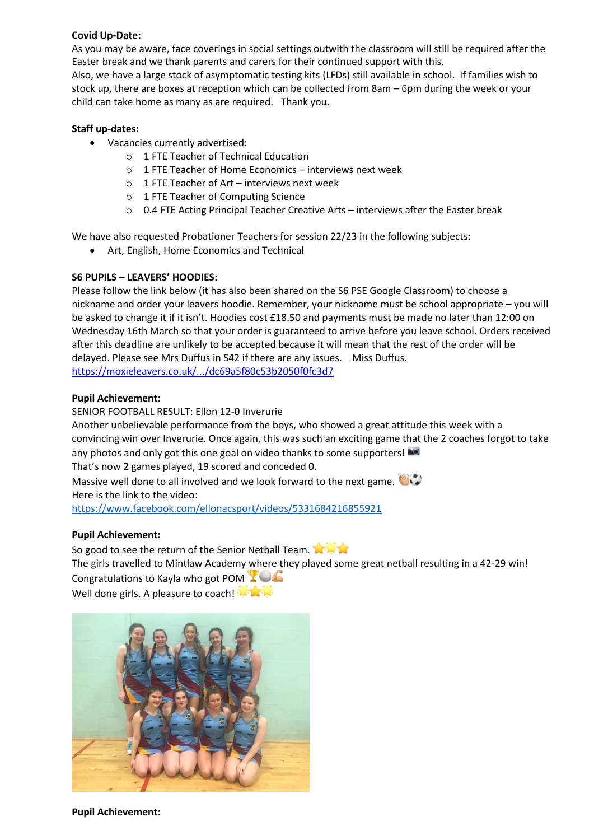### **Covid Up-Date:**

As you may be aware, face coverings in social settings outwith the classroom will still be required after the Easter break and we thank parents and carers for their continued support with this.

Also, we have a large stock of asymptomatic testing kits (LFDs) still available in school. If families wish to stock up, there are boxes at reception which can be collected from 8am – 6pm during the week or your child can take home as many as are required. Thank you.

### **Staff up-dates:**

- Vacancies currently advertised:
	- o 1 FTE Teacher of Technical Education
	- o 1 FTE Teacher of Home Economics interviews next week
	- $\circ$  1 FTE Teacher of Art interviews next week
	- o 1 FTE Teacher of Computing Science
	- $\circ$  0.4 FTE Acting Principal Teacher Creative Arts interviews after the Easter break

We have also requested Probationer Teachers for session 22/23 in the following subjects:

• Art, English, Home Economics and Technical

### **S6 PUPILS – LEAVERS' HOODIES:**

Please follow the link below (it has also been shared on the S6 PSE Google Classroom) to choose a nickname and order your leavers hoodie. Remember, your nickname must be school appropriate – you will be asked to change it if it isn't. Hoodies cost £18.50 and payments must be made no later than 12:00 on Wednesday 16th March so that your order is guaranteed to arrive before you leave school. Orders received after this deadline are unlikely to be accepted because it will mean that the rest of the order will be delayed. Please see Mrs Duffus in S42 if there are any issues. Miss Duffus. [https://moxieleavers.co.uk/.../dc69a5f80c53b2050f0fc3d7](https://moxieleavers.co.uk/hoodie/OMnE23VDUJsiFH7tOZ0U/dc69a5f80c53b2050f0fc3d7?fbclid=IwAR1zMwQrRyNSzYnfZlKdANaOIse8StFLXEBoYQ0DQ-Hii_j_7y9EKa_kVqU)

### **Pupil Achievement:**

SENIOR FOOTBALL RESULT: Ellon 12-0 Inverurie Another unbelievable performance from the boys, who showed a great attitude this week with a convincing win over Inverurie. Once again, this was such an exciting game that the 2 coaches forgot to take any photos and only got this one goal on video thanks to some supporters! That's now 2 games played, 19 scored and conceded 0.

Massive well done to all involved and we look forward to the next game. Here is the link to the video:

<https://www.facebook.com/ellonacsport/videos/5331684216855921>

# **Pupil Achievement:**

So good to see the return of the Senior Netball Team.

The girls travelled to Mintlaw Academy where they played some great netball resulting in a 42-29 win! Congratulations to Kayla who got POM **X** 

Well done girls. A pleasure to coach!



**Pupil Achievement:**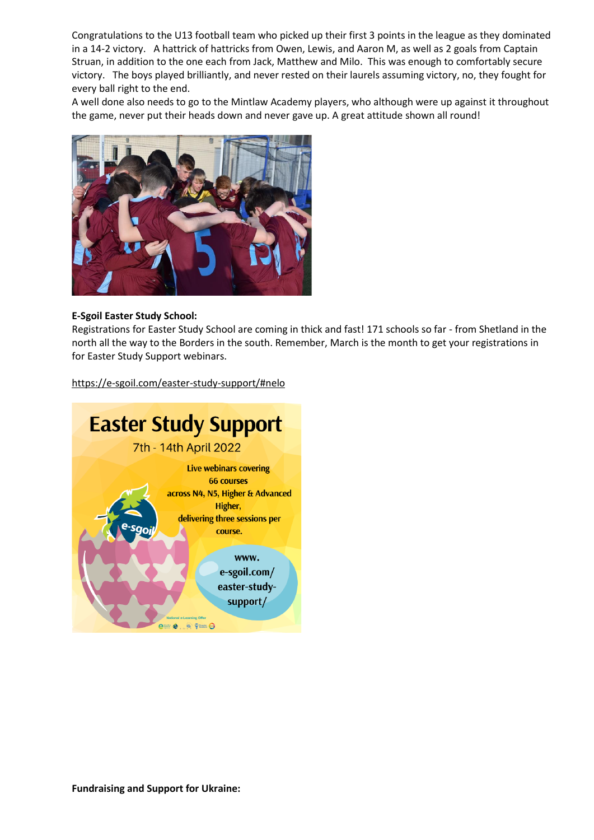Congratulations to the U13 football team who picked up their first 3 points in the league as they dominated in a 14-2 victory. A hattrick of hattricks from Owen, Lewis, and Aaron M, as well as 2 goals from Captain Struan, in addition to the one each from Jack, Matthew and Milo. This was enough to comfortably secure victory. The boys played brilliantly, and never rested on their laurels assuming victory, no, they fought for every ball right to the end.

A well done also needs to go to the Mintlaw Academy players, who although were up against it throughout the game, never put their heads down and never gave up. A great attitude shown all round!



#### **[E-Sgoil](https://www.facebook.com/eSgoil/?__cft__%5b0%5d=AZUUPYIWGGHRyTHjk47nu6ritchsdr74bMqzsUnws_2BI8NPAisz_-wD5oSPitEHtMf5GRRRhNtPPjwZwKpDNSzmNl464GE2aXlLaROgycTWFtDcWMyFDxv7ecIIvfXKizKBygZQSJaDDQWr3DBaUYsA1ygT9xOn4we0fOalWg8-6fOZ6yzRrgZGpySWj4FrR8Avqh2i1m6wrZI2ZJpsFTCzI9pkm2xUnC6berIYUhVazA&__tn__=-UC%2CP-y-R) Easter Study School:**

Registrations for Easter Study School are coming in thick and fast! 171 schools so far - from Shetland in the north all the way to the Borders in the south. Remember, March is the month to get your registrations in for Easter Study Support webinars.

[https://e-sgoil.com/easter-study-support/](https://e-sgoil.com/easter-study-support/?fbclid=IwAR2gzKKvbnQ8XjKnsxPIamEzEC0P33RS6531v_B7oe-zFt1UPgNosCUoA7c)[#nelo](https://www.facebook.com/hashtag/nelo?__eep__=6&__cft__%5b0%5d=AZUUPYIWGGHRyTHjk47nu6ritchsdr74bMqzsUnws_2BI8NPAisz_-wD5oSPitEHtMf5GRRRhNtPPjwZwKpDNSzmNl464GE2aXlLaROgycTWFtDcWMyFDxv7ecIIvfXKizKBygZQSJaDDQWr3DBaUYsA1ygT9xOn4we0fOalWg8-6fOZ6yzRrgZGpySWj4FrR8Avqh2i1m6wrZI2ZJpsFTCzI9pkm2xUnC6berIYUhVazA&__tn__=*NK-y-R)

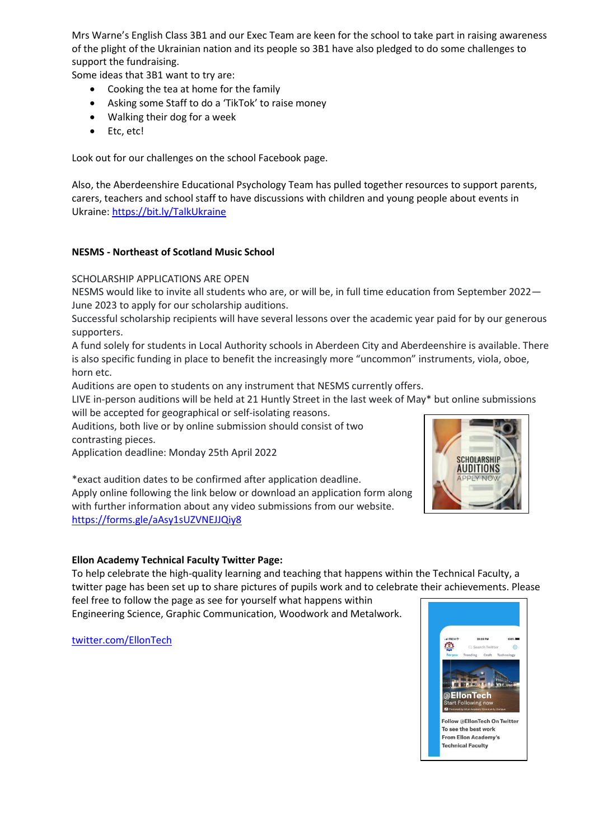Mrs Warne's English Class 3B1 and our Exec Team are keen for the school to take part in raising awareness of the plight of the Ukrainian nation and its people so 3B1 have also pledged to do some challenges to support the fundraising.

Some ideas that 3B1 want to try are:

- Cooking the tea at home for the family
- Asking some Staff to do a 'TikTok' to raise money
- Walking their dog for a week
- Etc, etc!

Look out for our challenges on the school Facebook page.

Also, the Aberdeenshire Educational Psychology Team has pulled together resources to support parents, carers, teachers and school staff to have discussions with children and young people about events in Ukraine[: https://bit.ly/TalkUkraine](https://bit.ly/TalkUkraine?fbclid=IwAR2k621Z1i3sFgPgv59dLjog379XtjqnRk6QzYIokM0TfhSVSoT-f8Qyl5U)

# **NESMS - [Northeast](https://www.facebook.com/NESMSAberdeen/?__cft__%5b0%5d=AZXK6TfB5nYA6LVLncucwq4_TDdaE9x-cXjKDCFo1t2hG6KDVI3TsVz-s0q0-QtSToMoNHY6h2z-z13BLEVaKQVBQZjbA__ejCo8GrBY_p4bwMaBanGlJLYl5WXnf8v4A689Wo8v7jXqDTQm32ZbmcEtoFsHv_HUzO_V75lj1A6QP9tMI2p4Rg4I2PMD8ksMISQ9XM1uOr5_DpFGI7eLamElF7m9GK0s4t-sZQKIK76ZmQ&__tn__=-UC%2CP-y-R) of Scotland Music School**

SCHOLARSHIP APPLICATIONS ARE OPEN

NESMS would like to invite all students who are, or will be, in full time education from September 2022— June 2023 to apply for our scholarship auditions.

Successful scholarship recipients will have several lessons over the academic year paid for by our generous supporters.

A fund solely for students in Local Authority schools in Aberdeen City and Aberdeenshire is available. There is also specific funding in place to benefit the increasingly more "uncommon" instruments, viola, oboe, horn etc.

Auditions are open to students on any instrument that NESMS currently offers.

LIVE in-person auditions will be held at 21 Huntly Street in the last week of May\* but online submissions will be accepted for geographical or self-isolating reasons.

Auditions, both live or by online submission should consist of two contrasting pieces.

Application deadline: Monday 25th April 2022

\*exact audition dates to be confirmed after application deadline.

Apply online following the link below or download an application form along with further information about any video submissions from our website. [https://forms.gle/aAsy1sUZVNEJJQiy8](https://forms.gle/aAsy1sUZVNEJJQiy8?fbclid=IwAR1mZVx75huRmCadIbhptdIi-nllUjS97TJhdHlJln2PeIKutmEE8CllXuM)



#### **Ellon Academy Technical Faculty Twitter Page:**

To help celebrate the high-quality learning and teaching that happens within the Technical Faculty, a twitter page has been set up to share pictures of pupils work and to celebrate their achievements. Please

feel free to follow the page as see for yourself what happens within Engineering Science, Graphic Communication, Woodwork and Metalwork.

[twitter.com/EllonTech](https://l.facebook.com/l.php?u=https%3A%2F%2Ftwitter.com%2FEllonTech%3Ffbclid%3DIwAR1MHCONEYDYvggNFQpPDjp11fO9dfhsXkF2xE44EV75pMQuhhvdCbltkdA&h=AT3pw-RrNvo5JU9X1_E5UImeWnPS6oa_O0-a806p_pABv7YAzLzC4h4Bp82Sy-1TvZxRJjIuzzMKIPpgyUag8mUGVmRP92DOAlFFqUQBQrAncw8nQ0tFY-o06lRHjAIS29L4&__tn__=-UK-R&c%5b0%5d=AT18dIDhiaeayq943Nf4mibof7TXtQlXB16RLuPlXUNwkxOUH51WqUdk3vLQB06ADFfw79cZqrRpl6BvPOHypry4TemiD_qtTNY8vAmYSooj5ZRzfkTJyKTXDgd9HIcFBCdH4WPDxT6_d4U5m4zxL5RUGxMpM4m1ycjMK151PvJPrEhpeGCrD_OSHzbX3RMUxatqBtET)